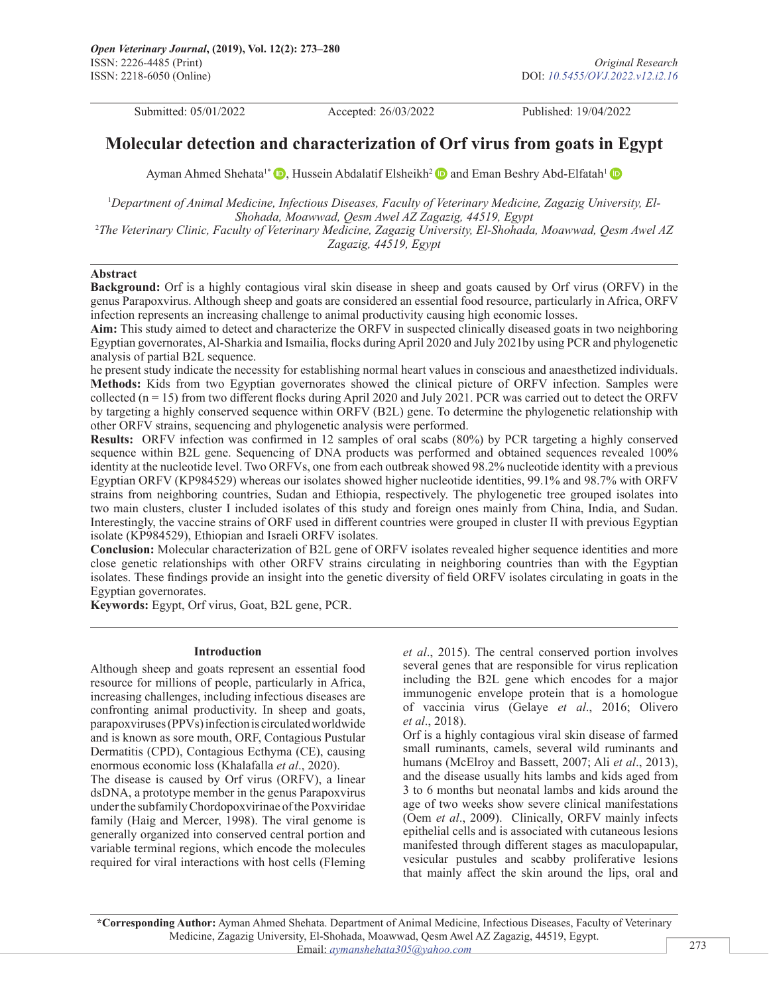Submitted: 05/01/2022 Accepted: 26/03/2022 Published: 19/04/2022

# **Molecular detection and characterization of Orf virus from goats in Egypt**

Ayman Ahmed Shehata<sup>[1](https://orcid.org/0000-0003-0330-6729)\*</sup>  $\bullet$ [,](https://orcid.org/0000-0003-0330-6729) Hussein Abdalatif Elsheikh<sup>2</sup> and Eman Beshry Abd-Elfatah<sup>1</sup>

<sup>1</sup>Department of Animal Medicine, Infectious Diseases, Faculty of Veterinary Medicine, Zagazig University, El-*Shohada, Moawwad, Qesm Awel AZ Zagazig, 44519, Egypt* 2 *The Veterinary Clinic, Faculty of Veterinary Medicine, Zagazig University, El-Shohada, Moawwad, Qesm Awel AZ Zagazig, 44519, Egypt*

## **Abstract**

**Background:** Orf is a highly contagious viral skin disease in sheep and goats caused by Orf virus (ORFV) in the genus Parapoxvirus. Although sheep and goats are considered an essential food resource, particularly in Africa, ORFV infection represents an increasing challenge to animal productivity causing high economic losses.

**Aim:** This study aimed to detect and characterize the ORFV in suspected clinically diseased goats in two neighboring Egyptian governorates, Al-Sharkia and Ismailia, flocks during April 2020 and July 2021by using PCR and phylogenetic analysis of partial B2L sequence.

he present study indicate the necessity for establishing normal heart values in conscious and anaesthetized individuals. **Methods:** Kids from two Egyptian governorates showed the clinical picture of ORFV infection. Samples were collected  $(n = 15)$  from two different flocks during April 2020 and July 2021. PCR was carried out to detect the ORFV by targeting a highly conserved sequence within ORFV (B2L) gene. To determine the phylogenetic relationship with other ORFV strains, sequencing and phylogenetic analysis were performed.

**Results:** ORFV infection was confirmed in 12 samples of oral scabs (80%) by PCR targeting a highly conserved sequence within B2L gene. Sequencing of DNA products was performed and obtained sequences revealed 100% identity at the nucleotide level. Two ORFVs, one from each outbreak showed 98.2% nucleotide identity with a previous Egyptian ORFV (KP984529) whereas our isolates showed higher nucleotide identities, 99.1% and 98.7% with ORFV strains from neighboring countries, Sudan and Ethiopia, respectively. The phylogenetic tree grouped isolates into two main clusters, cluster I included isolates of this study and foreign ones mainly from China, India, and Sudan. Interestingly, the vaccine strains of ORF used in different countries were grouped in cluster II with previous Egyptian isolate (KP984529), Ethiopian and Israeli ORFV isolates.

**Conclusion:** Molecular characterization of B2L gene of ORFV isolates revealed higher sequence identities and more close genetic relationships with other ORFV strains circulating in neighboring countries than with the Egyptian isolates. These findings provide an insight into the genetic diversity of field ORFV isolates circulating in goats in the Egyptian governorates.

**Keywords:** Egypt, Orf virus, Goat, B2L gene, PCR.

#### **Introduction**

Although sheep and goats represent an essential food resource for millions of people, particularly in Africa, increasing challenges, including infectious diseases are confronting animal productivity. In sheep and goats, parapoxviruses (PPVs) infection is circulated worldwide and is known as sore mouth, ORF, Contagious Pustular Dermatitis (CPD), Contagious Ecthyma (CE), causing enormous economic loss (Khalafalla *et al*., 2020).

The disease is caused by Orf virus (ORFV), a linear dsDNA, a prototype member in the genus Parapoxvirus under the subfamily Chordopoxvirinae of the Poxviridae family (Haig and Mercer, 1998). The viral genome is generally organized into conserved central portion and variable terminal regions, which encode the molecules required for viral interactions with host cells (Fleming *et al*., 2015). The central conserved portion involves several genes that are responsible for virus replication including the B2L gene which encodes for a major immunogenic envelope protein that is a homologue of vaccinia virus (Gelaye *et al*., 2016; Olivero *et al*., 2018).

Orf is a highly contagious viral skin disease of farmed small ruminants, camels, several wild ruminants and humans (McElroy and Bassett, 2007; Ali *et al*., 2013), and the disease usually hits lambs and kids aged from 3 to 6 months but neonatal lambs and kids around the age of two weeks show severe clinical manifestations (Oem *et al*., 2009). Clinically, ORFV mainly infects epithelial cells and is associated with cutaneous lesions manifested through different stages as maculopapular, vesicular pustules and scabby proliferative lesions that mainly affect the skin around the lips, oral and

**\*Corresponding Author:** Ayman Ahmed Shehata. Department of Animal Medicine, Infectious Diseases, Faculty of Veterinary Medicine, Zagazig University, El-Shohada, Moawwad, Qesm Awel AZ Zagazig, 44519, Egypt. Email: *[aymanshehata305@yahoo.com](mailto:aymanshehata305@yahoo.com)*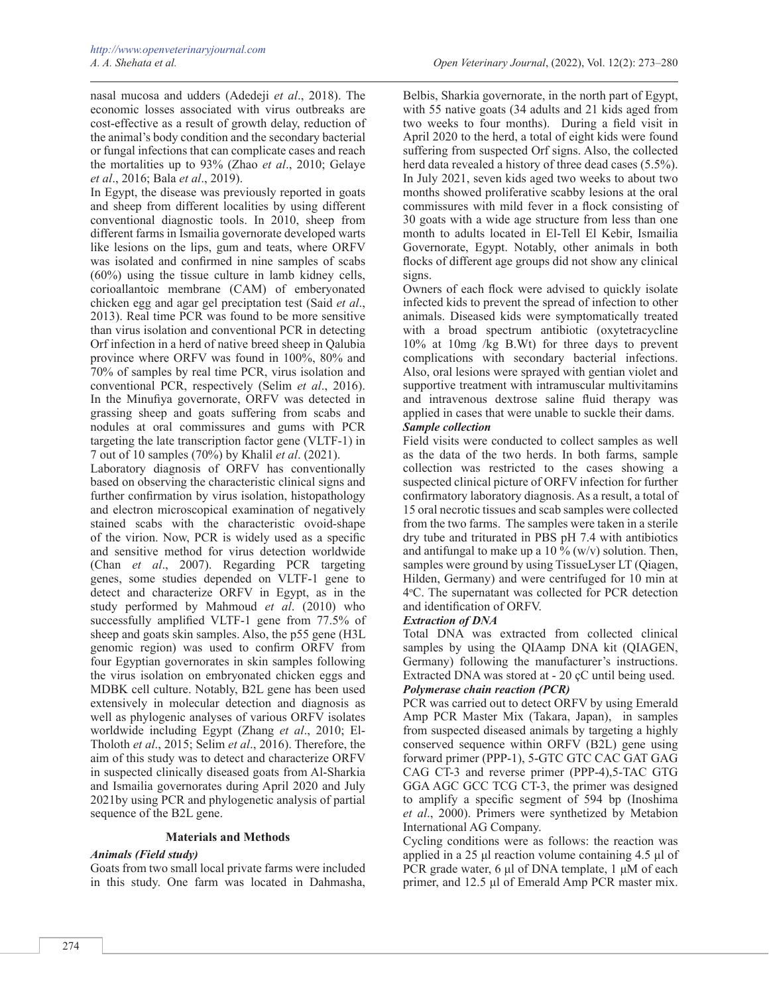nasal mucosa and udders (Adedeji *et al*., 2018). The economic losses associated with virus outbreaks are cost-effective as a result of growth delay, reduction of the animal's body condition and the secondary bacterial or fungal infections that can complicate cases and reach the mortalities up to 93% (Zhao *et al*., 2010; Gelaye *et al*., 2016; Bala *et al*., 2019).

In Egypt, the disease was previously reported in goats and sheep from different localities by using different conventional diagnostic tools. In 2010, sheep from different farms in Ismailia governorate developed warts like lesions on the lips, gum and teats, where ORFV was isolated and confirmed in nine samples of scabs (60%) using the tissue culture in lamb kidney cells, corioallantoic membrane (CAM) of emberyonated chicken egg and agar gel preciptation test (Said *et al*., 2013). Real time PCR was found to be more sensitive than virus isolation and conventional PCR in detecting Orf infection in a herd of native breed sheep in Qalubia province where ORFV was found in 100%, 80% and 70% of samples by real time PCR, virus isolation and conventional PCR, respectively (Selim *et al*., 2016). In the Minufiya governorate, ORFV was detected in grassing sheep and goats suffering from scabs and nodules at oral commissures and gums with PCR targeting the late transcription factor gene (VLTF-1) in 7 out of 10 samples (70%) by Khalil *et al*. (2021).

Laboratory diagnosis of ORFV has conventionally based on observing the characteristic clinical signs and further confirmation by virus isolation, histopathology and electron microscopical examination of negatively stained scabs with the characteristic ovoid-shape of the virion. Now, PCR is widely used as a specific and sensitive method for virus detection worldwide (Chan *et al*., 2007). Regarding PCR targeting genes, some studies depended on VLTF-1 gene to detect and characterize ORFV in Egypt, as in the study performed by Mahmoud *et al*. (2010) who successfully amplified VLTF-1 gene from 77.5% of sheep and goats skin samples. Also, the p55 gene (H3L genomic region) was used to confirm ORFV from four Egyptian governorates in skin samples following the virus isolation on embryonated chicken eggs and MDBK cell culture. Notably, B2L gene has been used extensively in molecular detection and diagnosis as well as phylogenic analyses of various ORFV isolates worldwide including Egypt (Zhang *et al*., 2010; El-Tholoth *et al*., 2015; Selim *et al*., 2016). Therefore, the aim of this study was to detect and characterize ORFV in suspected clinically diseased goats from Al-Sharkia and Ismailia governorates during April 2020 and July 2021by using PCR and phylogenetic analysis of partial sequence of the B2L gene.

#### **Materials and Methods**

#### *Animals (Field study)*

Goats from two small local private farms were included in this study. One farm was located in Dahmasha,

Belbis, Sharkia governorate, in the north part of Egypt, with 55 native goats (34 adults and 21 kids aged from two weeks to four months). During a field visit in April 2020 to the herd, a total of eight kids were found suffering from suspected Orf signs. Also, the collected herd data revealed a history of three dead cases (5.5%). In July 2021, seven kids aged two weeks to about two months showed proliferative scabby lesions at the oral commissures with mild fever in a flock consisting of 30 goats with a wide age structure from less than one month to adults located in El-Tell El Kebir, [Ismailia](https://en.wikipedia.org/wiki/Ismailia_Governorate) [Governorate,](https://en.wikipedia.org/wiki/Ismailia_Governorate) Egypt. Notably, other animals in both flocks of different age groups did not show any clinical signs.

Owners of each flock were advised to quickly isolate infected kids to prevent the spread of infection to other animals. Diseased kids were symptomatically treated with a broad spectrum antibiotic (oxytetracycline 10% at 10mg /kg B.Wt) for three days to prevent complications with secondary bacterial infections. Also, oral lesions were sprayed with gentian violet and supportive treatment with intramuscular multivitamins and intravenous dextrose saline fluid therapy was applied in cases that were unable to suckle their dams. *Sample collection*

Field visits were conducted to collect samples as well as the data of the two herds. In both farms, sample collection was restricted to the cases showing a suspected clinical picture of ORFV infection for further confirmatory laboratory diagnosis. As a result, a total of 15 oral necrotic tissues and scab samples were collected from the two farms. The samples were taken in a sterile dry tube and triturated in PBS pH 7.4 with antibiotics and antifungal to make up a 10  $\frac{6}{9}$  (w/v) solution. Then, samples were ground by using TissueLyser LT (Qiagen, Hilden, Germany) and were centrifuged for 10 min at 4o C. The supernatant was collected for PCR detection and identification of ORFV.

# *Extraction of DNA*

Total DNA was extracted from collected clinical samples by using the QIAamp DNA kit (QIAGEN, Germany) following the manufacturer's instructions. Extracted DNA was stored at - 20 çC until being used. *Polymerase chain reaction (PCR)*

PCR was carried out to detect ORFV by using Emerald Amp PCR Master Mix (Takara, Japan), in samples from suspected diseased animals by targeting a highly conserved sequence within ORFV (B2L) gene using forward primer (PPP-1), 5-GTC GTC CAC GAT GAG CAG CT-3 and reverse primer (PPP-4),5-TAC GTG GGA AGC GCC TCG CT-3, the primer was designed to amplify a specific segment of 594 bp (Inoshima *et al*., 2000). Primers were synthetized by Metabion International AG Company.

Cycling conditions were as follows: the reaction was applied in a 25 μl reaction volume containing 4.5 μl of PCR grade water, 6 μl of DNA template, 1 μM of each primer, and 12.5 μl of Emerald Amp PCR master mix.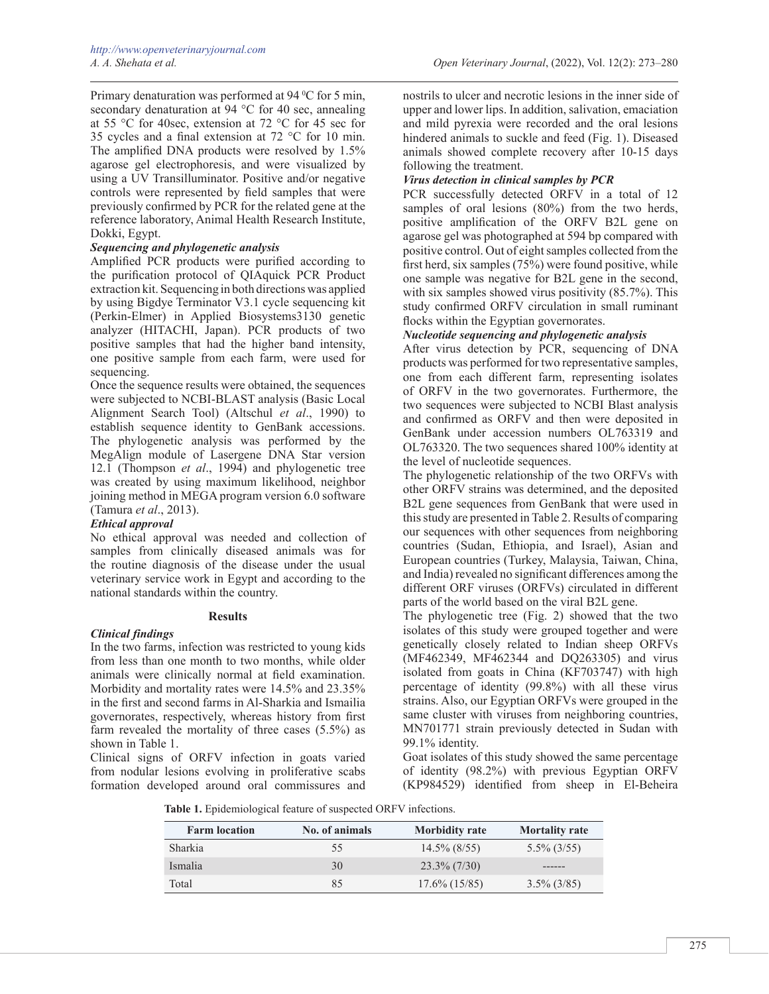Primary denaturation was performed at 94 °C for 5 min, secondary denaturation at 94 °C for 40 sec, annealing at 55 °C for 40sec, extension at 72 °C for 45 sec for 35 cycles and a final extension at 72 °C for 10 min. The amplified DNA products were resolved by 1.5% agarose gel electrophoresis, and were visualized by using a UV Transilluminator. Positive and/or negative controls were represented by field samples that were previously confirmed by PCR for the related gene at the reference laboratory, Animal Health Research Institute, Dokki, Egypt.

## *Sequencing and phylogenetic analysis*

Amplified PCR products were purified according to the purification protocol of QIAquick PCR Product extraction kit. Sequencing in both directions was applied by using Bigdye Terminator V3.1 cycle sequencing kit (Perkin-Elmer) in Applied Biosystems3130 genetic analyzer (HITACHI, Japan). PCR products of two positive samples that had the higher band intensity, one positive sample from each farm, were used for sequencing.

Once the sequence results were obtained, the sequences were subjected to NCBI-BLAST analysis (Basic Local Alignment Search Tool) (Altschul *et al*., 1990) to establish sequence identity to GenBank accessions. The phylogenetic analysis was performed by the MegAlign module of Lasergene DNA Star version 12.1 (Thompson *et al*., 1994) and phylogenetic tree was created by using maximum likelihood, neighbor joining method in MEGA program version 6.0 software (Tamura *et al*., 2013).

# *Ethical approval*

No ethical approval was needed and collection of samples from clinically diseased animals was for the routine diagnosis of the disease under the usual veterinary service work in Egypt and according to the national standards within the country.

#### **Results**

#### *Clinical findings*

In the two farms, infection was restricted to young kids from less than one month to two months, while older animals were clinically normal at field examination. Morbidity and mortality rates were 14.5% and 23.35% in the first and second farms in Al-Sharkia and Ismailia governorates, respectively, whereas history from first farm revealed the mortality of three cases (5.5%) as shown in Table 1.

Clinical signs of ORFV infection in goats varied from nodular lesions evolving in proliferative scabs formation developed around oral commissures and

nostrils to ulcer and necrotic lesions in the inner side of upper and lower lips. In addition, salivation, emaciation and mild pyrexia were recorded and the oral lesions hindered animals to suckle and feed (Fig. 1). Diseased animals showed complete recovery after 10-15 days following the treatment.

# *Virus detection in clinical samples by PCR*

PCR successfully detected ORFV in a total of 12 samples of oral lesions (80%) from the two herds, positive amplification of the ORFV B2L gene on agarose gel was photographed at 594 bp compared with positive control. Out of eight samples collected from the first herd, six samples (75%) were found positive, while one sample was negative for B2L gene in the second, with six samples showed virus positivity (85.7%). This study confirmed ORFV circulation in small ruminant flocks within the Egyptian governorates.

## *Nucleotide sequencing and phylogenetic analysis*

After virus detection by PCR, sequencing of DNA products was performed for two representative samples, one from each different farm, representing isolates of ORFV in the two governorates. Furthermore, the two sequences were subjected to NCBI Blast analysis and confirmed as ORFV and then were deposited in GenBank under accession numbers OL763319 and OL763320. The two sequences shared 100% identity at the level of nucleotide sequences.

The phylogenetic relationship of the two ORFVs with other ORFV strains was determined, and the deposited B2L gene sequences from GenBank that were used in this study are presented in Table 2. Results of comparing our sequences with other sequences from neighboring countries (Sudan, Ethiopia, and Israel), Asian and European countries (Turkey, Malaysia, Taiwan, China, and India) revealed no significant differences among the different ORF viruses (ORFVs) circulated in different parts of the world based on the viral B2L gene.

The phylogenetic tree (Fig. 2) showed that the two isolates of this study were grouped together and were genetically closely related to Indian sheep ORFVs (MF462349, MF462344 and DQ263305) and virus isolated from goats in China (KF703747) with high percentage of identity (99.8%) with all these virus strains. Also, our Egyptian ORFVs were grouped in the same cluster with viruses from neighboring countries, MN701771 strain previously detected in Sudan with 99.1% identity.

Goat isolates of this study showed the same percentage of identity (98.2%) with previous Egyptian ORFV (KP984529) identified from sheep in El-Beheira

**Table 1.** Epidemiological feature of suspected ORFV infections.

| <b>Farm location</b> | No. of animals | <b>Morbidity rate</b> | <b>Mortality rate</b> |
|----------------------|----------------|-----------------------|-----------------------|
| <b>Sharkia</b>       | 55             | $14.5\%$ (8/55)       | $5.5\%$ (3/55)        |
| Ismalia              | 30             | $23.3\%$ (7/30)       |                       |
| Total                | 85             | $17.6\%$ (15/85)      | $3.5\%$ (3/85)        |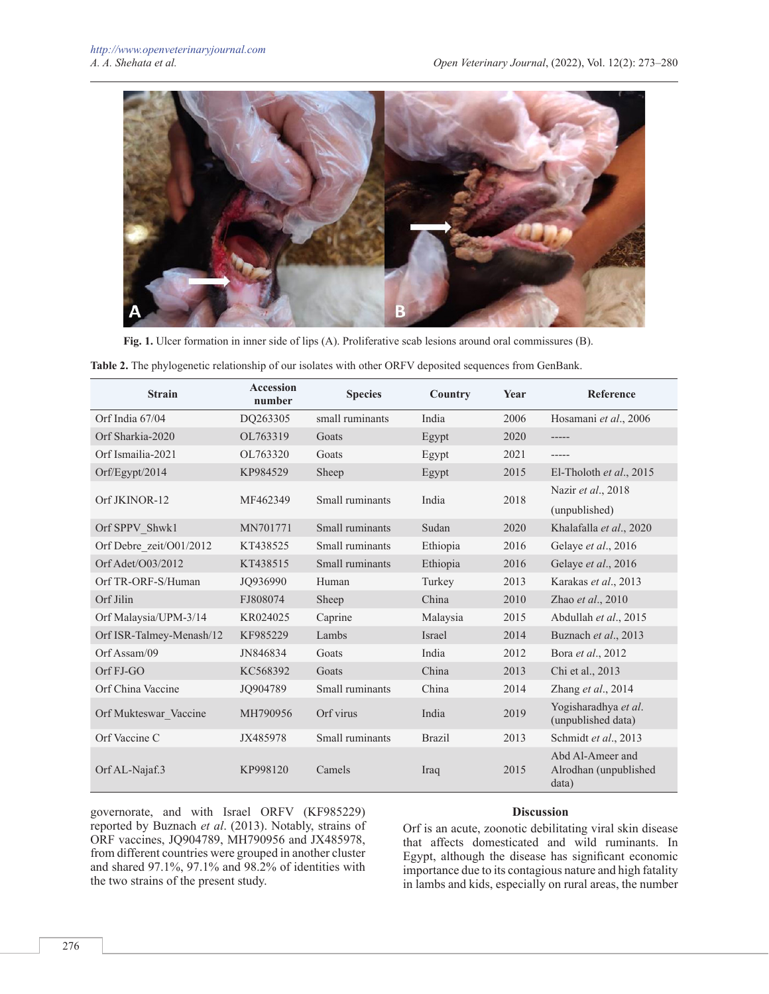

**Fig. 1.** Ulcer formation in inner side of lips (A). Proliferative scab lesions around oral commissures (B).

|  |  |  |  | Table 2. The phylogenetic relationship of our isolates with other ORFV deposited sequences from GenBank. |  |
|--|--|--|--|----------------------------------------------------------------------------------------------------------|--|
|  |  |  |  |                                                                                                          |  |

| <b>Strain</b>            | Accession<br>number | <b>Species</b>  | Country       | Year | <b>Reference</b>                                   |
|--------------------------|---------------------|-----------------|---------------|------|----------------------------------------------------|
| Orf India 67/04          | DQ263305            | small ruminants | India         | 2006 | Hosamani et al., 2006                              |
| Orf Sharkia-2020         | OL763319            | Goats           | Egypt         | 2020 | -----                                              |
| Orf Ismailia-2021        | OL763320            | Goats           | Egypt         | 2021 | -----                                              |
| Orf/Egypt/2014           | KP984529            | Sheep           | Egypt         | 2015 | El-Tholoth et al., $2015$                          |
| Orf JKINOR-12            | MF462349            | Small ruminants | India         | 2018 | Nazir et al., 2018                                 |
|                          |                     |                 |               |      | (unpublished)                                      |
| Orf SPPV Shwk1           | MN701771            | Small ruminants | Sudan         | 2020 | Khalafalla et al., 2020                            |
| Orf Debre zeit/O01/2012  | KT438525            | Small ruminants | Ethiopia      | 2016 | Gelaye et al., 2016                                |
| Orf Adet/O03/2012        | KT438515            | Small ruminants | Ethiopia      | 2016 | Gelaye et al., 2016                                |
| Orf TR-ORF-S/Human       | JO936990            | Human           | Turkey        | 2013 | Karakas et al., 2013                               |
| Orf Jilin                | FJ808074            | Sheep           | China         | 2010 | Zhao et al., 2010                                  |
| Orf Malaysia/UPM-3/14    | KR024025            | Caprine         | Malaysia      | 2015 | Abdullah et al., 2015                              |
| Orf ISR-Talmey-Menash/12 | KF985229            | Lambs           | <b>Israel</b> | 2014 | Buznach et al., 2013                               |
| $Orf$ Assam/09           | JN846834            | Goats           | India         | 2012 | Bora et al., 2012                                  |
| Orf FJ-GO                | KC568392            | Goats           | China         | 2013 | Chi et al., 2013                                   |
| Orf China Vaccine        | JO904789            | Small ruminants | China         | 2014 | Zhang et al., 2014                                 |
| Orf Mukteswar Vaccine    | MH790956            | Orf virus       | India         | 2019 | Yogisharadhya et al.<br>(unpublished data)         |
| Orf Vaccine C            | JX485978            | Small ruminants | <b>Brazil</b> | 2013 | Schmidt et al., 2013                               |
| Orf AL-Najaf.3           | KP998120            | Camels          | Iraq          | 2015 | Abd Al-Ameer and<br>Alrodhan (unpublished<br>data) |

governorate, and with Israel ORFV (KF985229) reported by Buznach *et al*. (2013). Notably, strains of ORF vaccines, JQ904789, MH790956 and JX485978, from different countries were grouped in another cluster and shared 97.1%, 97.1% and 98.2% of identities with the two strains of the present study.

#### **Discussion**

Orf is an acute, zoonotic debilitating viral skin disease that affects domesticated and wild ruminants. In Egypt, although the disease has significant economic importance due to its contagious nature and high fatality in lambs and kids, especially on rural areas, the number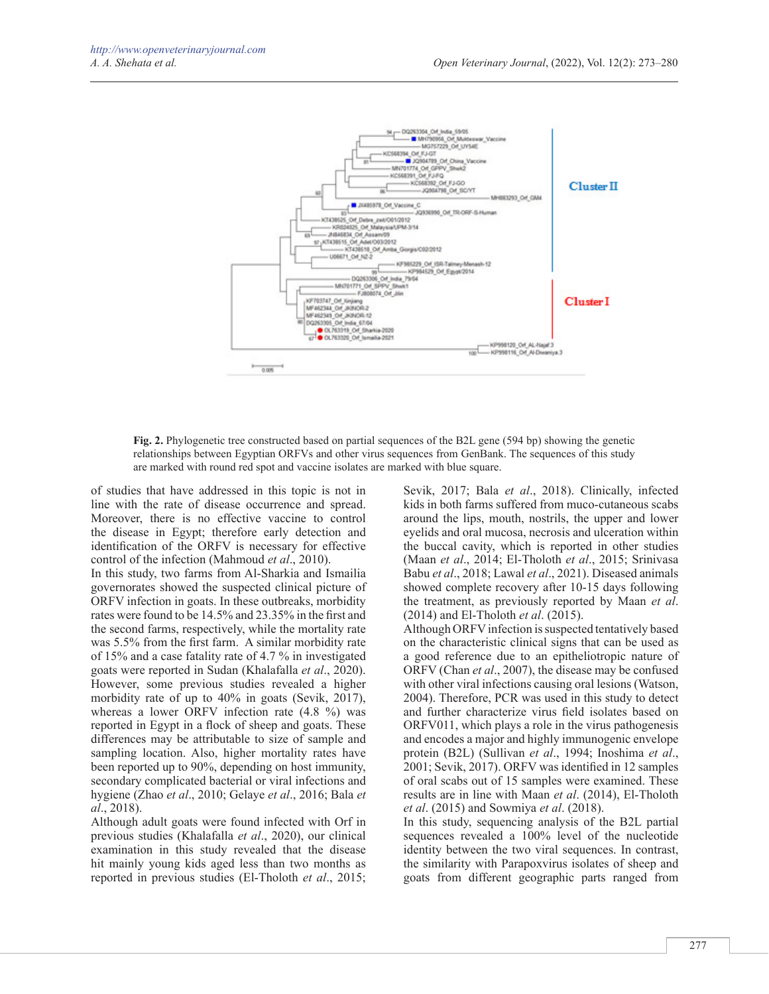

**Fig. 2.** Phylogenetic tree constructed based on partial sequences of the B2L gene (594 bp) showing the genetic relationships between Egyptian ORFVs and other virus sequences from GenBank. The sequences of this study are marked with round red spot and vaccine isolates are marked with blue square.

of studies that have addressed in this topic is not in line with the rate of disease occurrence and spread. Moreover, there is no effective vaccine to control the disease in Egypt; therefore early detection and identification of the ORFV is necessary for effective control of the infection (Mahmoud *et al*., 2010).

In this study, two farms from Al-Sharkia and Ismailia governorates showed the suspected clinical picture of ORFV infection in goats. In these outbreaks, morbidity rates were found to be 14.5% and 23.35% in the first and the second farms, respectively, while the mortality rate was 5.5% from the first farm. A similar morbidity rate of 15% and a case fatality rate of 4.7 % in investigated goats were reported in Sudan (Khalafalla *et al*., 2020). However, some previous studies revealed a higher morbidity rate of up to 40% in goats (Sevik, 2017), whereas a lower ORFV infection rate (4.8 %) was reported in Egypt in a flock of sheep and goats. These differences may be attributable to size of sample and sampling location. Also, higher mortality rates have been reported up to 90%, depending on host immunity, secondary complicated bacterial or viral infections and hygiene (Zhao *et al*., 2010; Gelaye *et al*., 2016; Bala *et al*., 2018).

Although adult goats were found infected with Orf in previous studies (Khalafalla *et al*., 2020), our clinical examination in this study revealed that the disease hit mainly young kids aged less than two months as reported in previous studies (El-Tholoth *et al*., 2015; Sevik, 2017; Bala *et al*., 2018). Clinically, infected kids in both farms suffered from muco-cutaneous scabs around the lips, mouth, nostrils, the upper and lower eyelids and oral mucosa, necrosis and ulceration within the buccal cavity, which is reported in other studies (Maan *et al*., 2014; El-Tholoth *et al*., 2015; Srinivasa Babu *et al*., 2018; Lawal *et al*., 2021). Diseased animals showed complete recovery after 10-15 days following the treatment, as previously reported by Maan *et al*. (2014) and El-Tholoth *et al*. (2015).

Although ORFV infection is suspected tentatively based on the characteristic clinical signs that can be used as a good reference due to an epitheliotropic nature of ORFV (Chan *et al*., 2007), the disease may be confused with other viral infections causing oral lesions (Watson, 2004). Therefore, PCR was used in this study to detect and further characterize virus field isolates based on ORFV011, which plays a role in the virus pathogenesis and encodes a major and highly immunogenic envelope protein (B2L) (Sullivan *et al*., 1994; Inoshima *et al*., 2001; Sevik, 2017). ORFV was identified in 12 samples of oral scabs out of 15 samples were examined. These results are in line with Maan *et al*. (2014), El-Tholoth *et al*. (2015) and Sowmiya *et al*. (2018).

In this study, sequencing analysis of the B2L partial sequences revealed a 100% level of the nucleotide identity between the two viral sequences. In contrast, the similarity with Parapoxvirus isolates of sheep and goats from different geographic parts ranged from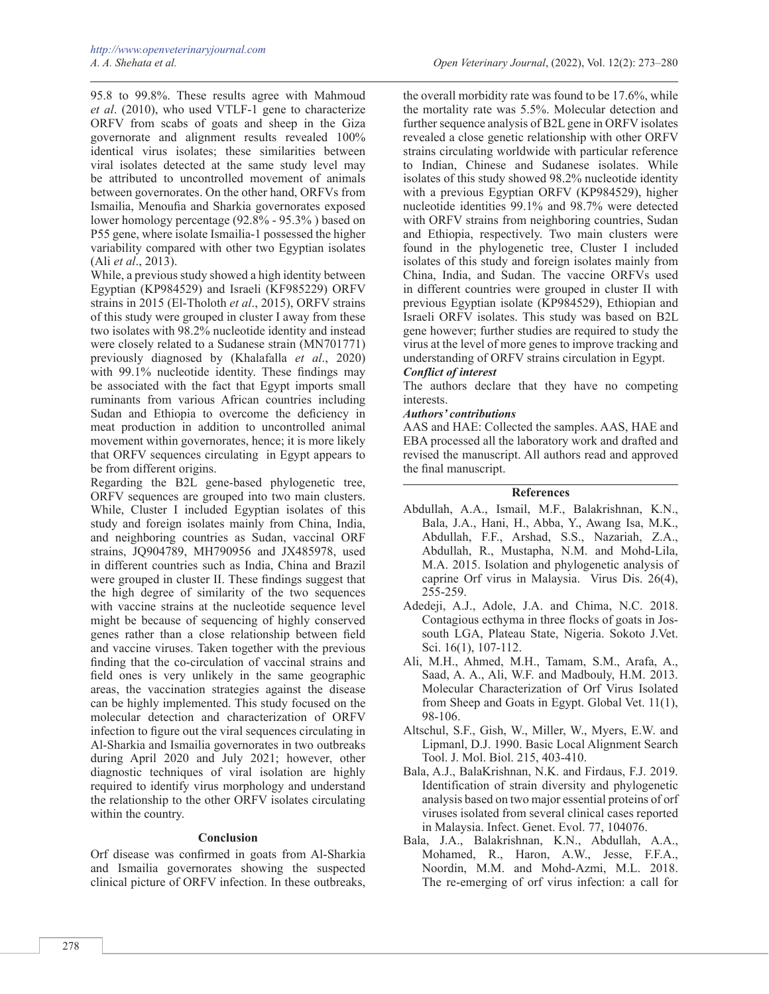95.8 to 99.8%. These results agree with Mahmoud *et al*. (2010), who used VTLF-1 gene to characterize ORFV from scabs of goats and sheep in the Giza governorate and alignment results revealed 100% identical virus isolates; these similarities between viral isolates detected at the same study level may be attributed to uncontrolled movement of animals between governorates. On the other hand, ORFVs from Ismailia, Menoufia and Sharkia governorates exposed lower homology percentage (92.8% - 95.3% ) based on P55 gene, where isolate Ismailia-1 possessed the higher variability compared with other two Egyptian isolates (Ali *et al*., 2013).

While, a previous study showed a high identity between Egyptian (KP984529) and Israeli (KF985229) ORFV strains in 2015 (El-Tholoth *et al*., 2015), ORFV strains of this study were grouped in cluster I away from these two isolates with 98.2% nucleotide identity and instead were closely related to a Sudanese strain (MN701771) previously diagnosed by (Khalafalla *et al*., 2020) with 99.1% nucleotide identity. These findings may be associated with the fact that Egypt imports small ruminants from various African countries including Sudan and Ethiopia to overcome the deficiency in meat production in addition to uncontrolled animal movement within governorates, hence; it is more likely that ORFV sequences circulating in Egypt appears to be from different origins.

Regarding the B2L gene-based phylogenetic tree, ORFV sequences are grouped into two main clusters. While, Cluster I included Egyptian isolates of this study and foreign isolates mainly from China, India, and neighboring countries as Sudan, vaccinal ORF strains, JQ904789, MH790956 and JX485978, used in different countries such as India, China and Brazil were grouped in cluster II. These findings suggest that the high degree of similarity of the two sequences with vaccine strains at the nucleotide sequence level might be because of sequencing of highly conserved genes rather than a close relationship between field and vaccine viruses. Taken together with the previous finding that the co-circulation of vaccinal strains and field ones is very unlikely in the same geographic areas, the vaccination strategies against the disease can be highly implemented. This study focused on the molecular detection and characterization of ORFV infection to figure out the viral sequences circulating in Al-Sharkia and Ismailia governorates in two outbreaks during April 2020 and July 2021; however, other diagnostic techniques of viral isolation are highly required to identify virus morphology and understand the relationship to the other ORFV isolates circulating within the country.

#### **Conclusion**

Orf disease was confirmed in goats from Al-Sharkia and Ismailia governorates showing the suspected clinical picture of ORFV infection. In these outbreaks,

the overall morbidity rate was found to be 17.6%, while the mortality rate was 5.5%. Molecular detection and further sequence analysis of B2L gene in ORFV isolates revealed a close genetic relationship with other ORFV strains circulating worldwide with particular reference to Indian, Chinese and Sudanese isolates. While isolates of this study showed 98.2% nucleotide identity with a previous Egyptian ORFV (KP984529), higher nucleotide identities 99.1% and 98.7% were detected with ORFV strains from neighboring countries, Sudan and Ethiopia, respectively. Two main clusters were found in the phylogenetic tree, Cluster I included isolates of this study and foreign isolates mainly from China, India, and Sudan. The vaccine ORFVs used in different countries were grouped in cluster II with previous Egyptian isolate (KP984529), Ethiopian and Israeli ORFV isolates. This study was based on B2L gene however; further studies are required to study the virus at the level of more genes to improve tracking and understanding of ORFV strains circulation in Egypt.

#### *Conflict of interest*

The authors declare that they have no competing interests.

#### *Authors' contributions*

AAS and HAE: Collected the samples. AAS, HAE and EBA processed all the laboratory work and drafted and revised the manuscript. All authors read and approved the final manuscript.

#### **References**

- Abdullah, A.A., Ismail, M.F., Balakrishnan, K.N., Bala, J.A., Hani, H., Abba, Y., Awang Isa, M.K., Abdullah, F.F., Arshad, S.S., Nazariah, Z.A., Abdullah, R., Mustapha, N.M. and Mohd-Lila, M.A. 2015. Isolation and phylogenetic analysis of caprine Orf virus in Malaysia. Virus Dis. 26(4), 255-259.
- Adedeji, A.J., Adole, J.A. and Chima, N.C. 2018. Contagious ecthyma in three flocks of goats in Jossouth LGA, Plateau State, Nigeria. Sokoto J.Vet. Sci. 16(1), 107-112.
- Ali, M.H., Ahmed, M.H., Tamam, S.M., Arafa, A., Saad, A. A., Ali, W.F. and Madbouly, H.M. 2013. Molecular Characterization of Orf Virus Isolated from Sheep and Goats in Egypt. Global Vet. 11(1), 98-106.
- Altschul, S.F., Gish, W., Miller, W., Myers, E.W. and Lipmanl, D.J. 1990. Basic Local Alignment Search Tool. J. Mol. Biol. 215, 403-410.
- Bala, A.J., BalaKrishnan, N.K. and Firdaus, F.J. 2019. Identification of strain diversity and phylogenetic analysis based on two major essential proteins of orf viruses isolated from several clinical cases reported in Malaysia. Infect. Genet. Evol. 77, 104076.
- Bala, J.A., Balakrishnan, K.N., Abdullah, A.A., Mohamed, R., Haron, A.W., Jesse, F.F.A., Noordin, M.M. and Mohd-Azmi, M.L. 2018. The re-emerging of orf virus infection: a call for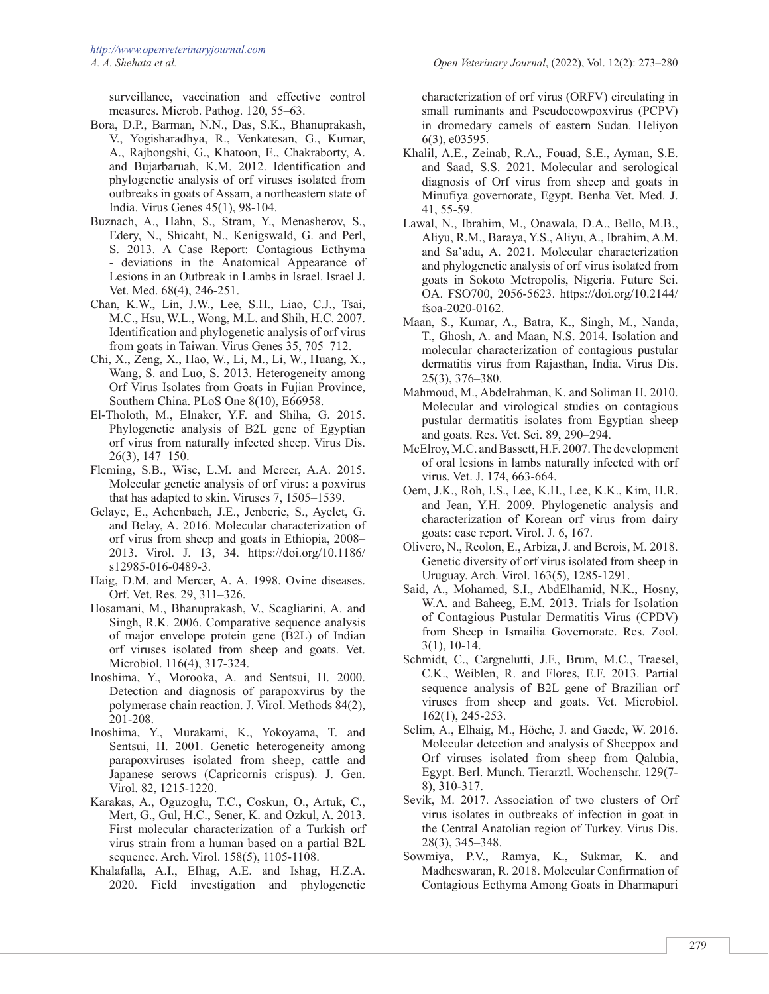surveillance, vaccination and effective control measures. Microb. Pathog. 120, 55–63.

- Bora, D.P., Barman, N.N., Das, S.K., Bhanuprakash, V., Yogisharadhya, R., Venkatesan, G., Kumar, A., Rajbongshi, G., Khatoon, E., Chakraborty, A. and Bujarbaruah, K.M. 2012. Identification and phylogenetic analysis of orf viruses isolated from outbreaks in goats of Assam, a northeastern state of India. Virus Genes 45(1), 98-104.
- Buznach, A., Hahn, S., Stram, Y., Menasherov, S., Edery, N., Shicaht, N., Kenigswald, G. and Perl, S. 2013. A Case Report: Contagious Ecthyma - deviations in the Anatomical Appearance of Lesions in an Outbreak in Lambs in Israel. Israel J. Vet. Med. 68(4), 246-251.
- Chan, K.W., Lin, J.W., Lee, S.H., Liao, C.J., Tsai, M.C., Hsu, W.L., Wong, M.L. and Shih, H.C. 2007. Identification and phylogenetic analysis of orf virus from goats in Taiwan. Virus Genes 35, 705–712.
- Chi, X., Zeng, X., Hao, W., Li, M., Li, W., Huang, X., Wang, S. and Luo, S. 2013. Heterogeneity among Orf Virus Isolates from Goats in Fujian Province, Southern China. PLoS One 8(10), E66958.
- El-Tholoth, M., Elnaker, Y.F. and Shiha, G. 2015. Phylogenetic analysis of B2L gene of Egyptian orf virus from naturally infected sheep. Virus Dis. 26(3), 147–150.
- Fleming, S.B., Wise, L.M. and Mercer, A.A. 2015. Molecular genetic analysis of orf virus: a poxvirus that has adapted to skin. Viruses 7, 1505–1539.
- Gelaye, E., Achenbach, J.E., Jenberie, S., Ayelet, G. and Belay, A. 2016. Molecular characterization of orf virus from sheep and goats in Ethiopia, 2008– 2013. Virol. J. 13, 34. https://doi.org/10.1186/ s12985-016-0489-3.
- Haig, D.M. and Mercer, A. A. 1998. Ovine diseases. Orf. Vet. Res. 29, 311–326.
- Hosamani, M., Bhanuprakash, V., Scagliarini, A. and Singh, R.K. 2006. Comparative sequence analysis of major envelope protein gene (B2L) of Indian orf viruses isolated from sheep and goats. Vet. Microbiol. 116(4), 317-324.
- Inoshima, Y., Morooka, A. and Sentsui, H. 2000. Detection and diagnosis of parapoxvirus by the polymerase chain reaction. J. Virol. Methods 84(2), 201-208.
- Inoshima, Y., Murakami, K., Yokoyama, T. and Sentsui, H. 2001. Genetic heterogeneity among parapoxviruses isolated from sheep, cattle and Japanese serows (Capricornis crispus). J. Gen. Virol. 82, 1215-1220.
- Karakas, A., Oguzoglu, T.C., Coskun, O., Artuk, C., Mert, G., Gul, H.C., Sener, K. and Ozkul, A. 2013. First molecular characterization of a Turkish orf virus strain from a human based on a partial B2L sequence. Arch. Virol. 158(5), 1105-1108.
- Khalafalla, A.I., Elhag, A.E. and Ishag, H.Z.A. 2020. Field investigation and phylogenetic

characterization of orf virus (ORFV) circulating in small ruminants and Pseudocowpoxvirus (PCPV) in dromedary camels of eastern Sudan. Heliyon 6(3), e03595.

- Khalil, A.E., Zeinab, R.A., Fouad, S.E., Ayman, S.E. and Saad, S.S. 2021. Molecular and serological diagnosis of Orf virus from sheep and goats in Minufiya governorate, Egypt. Benha Vet. Med. J. 41, 55-59.
- Lawal, N., Ibrahim, M., Onawala, D.A., Bello, M.B., Aliyu, R.M., Baraya, Y.S., Aliyu, A., Ibrahim, A.M. and Sa'adu, A. 2021. Molecular characterization and phylogenetic analysis of orf virus isolated from goats in Sokoto Metropolis, Nigeria. Future Sci. OA. FSO700, 2056-5623. https://doi.org/10.2144/ fsoa-2020-0162.
- Maan, S., Kumar, A., Batra, K., Singh, M., Nanda, T., Ghosh, A. and Maan, N.S. 2014. Isolation and molecular characterization of contagious pustular dermatitis virus from Rajasthan, India. Virus Dis. 25(3), 376–380.
- Mahmoud, M., Abdelrahman, K. and Soliman H. 2010. Molecular and virological studies on contagious pustular dermatitis isolates from Egyptian sheep and goats. Res. Vet. Sci. 89, 290–294.
- McElroy, M.C. and Bassett, H.F. 2007. The development of oral lesions in lambs naturally infected with orf virus. Vet. J. 174, 663-664.
- Oem, J.K., Roh, I.S., Lee, K.H., Lee, K.K., Kim, H.R. and Jean, Y.H. 2009. Phylogenetic analysis and characterization of Korean orf virus from dairy goats: case report. Virol. J. 6, 167.
- Olivero, N., Reolon, E., Arbiza, J. and Berois, M. 2018. Genetic diversity of orf virus isolated from sheep in Uruguay. Arch. Virol. 163(5), 1285-1291.
- Said, A., Mohamed, S.I., AbdElhamid, N.K., Hosny, W.A. and Baheeg, E.M. 2013. Trials for Isolation of Contagious Pustular Dermatitis Virus (CPDV) from Sheep in Ismailia Governorate. Res. Zool. 3(1), 10-14.
- Schmidt, C., Cargnelutti, J.F., Brum, M.C., Traesel, C.K., Weiblen, R. and Flores, E.F. 2013. Partial sequence analysis of B2L gene of Brazilian orf viruses from sheep and goats. Vet. Microbiol. 162(1), 245-253.
- Selim, A., Elhaig, M., Höche, J. and Gaede, W. 2016. Molecular detection and analysis of Sheeppox and Orf viruses isolated from sheep from Qalubia, Egypt. Berl. Munch. Tierarztl. Wochenschr. 129(7- 8), 310-317.
- Sevik, M. 2017. Association of two clusters of Orf virus isolates in outbreaks of infection in goat in the Central Anatolian region of Turkey. Virus Dis. 28(3), 345–348.
- Sowmiya, P.V., Ramya, K., Sukmar, K. and Madheswaran, R. 2018. Molecular Confirmation of Contagious Ecthyma Among Goats in Dharmapuri